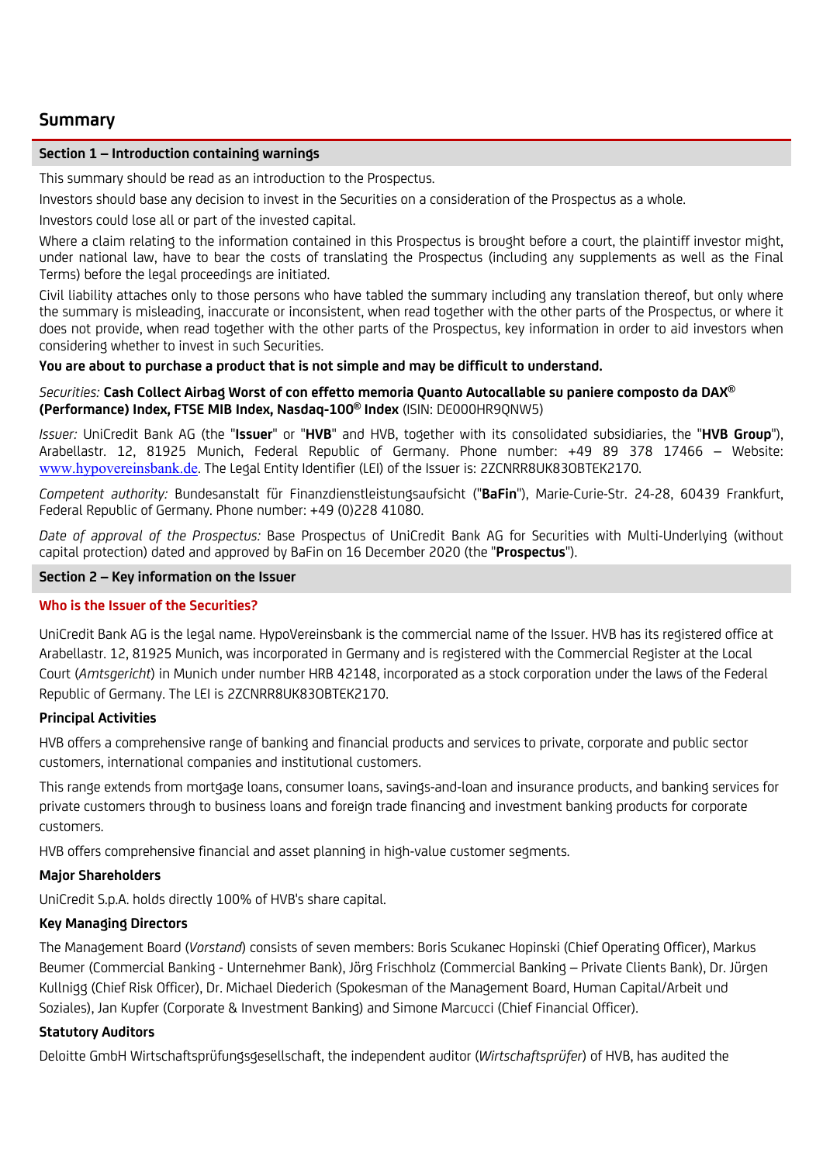# **Summary**

### **Section 1 – Introduction containing warnings**

This summary should be read as an introduction to the Prospectus.

Investors should base any decision to invest in the Securities on a consideration of the Prospectus as a whole.

Investors could lose all or part of the invested capital.

Where a claim relating to the information contained in this Prospectus is brought before a court, the plaintiff investor might, under national law, have to bear the costs of translating the Prospectus (including any supplements as well as the Final Terms) before the legal proceedings are initiated.

Civil liability attaches only to those persons who have tabled the summary including any translation thereof, but only where the summary is misleading, inaccurate or inconsistent, when read together with the other parts of the Prospectus, or where it does not provide, when read together with the other parts of the Prospectus, key information in order to aid investors when considering whether to invest in such Securities.

### **You are about to purchase a product that is not simple and may be difficult to understand.**

### *Securities:* **Cash Collect Airbag Worst of con effetto memoria Quanto Autocallable su paniere composto da DAX® (Performance) Index, FTSE MIB Index, Nasdaq-100® Index** (ISIN: DE000HR9QNW5)

*Issuer:* UniCredit Bank AG (the "**Issuer**" or "**HVB**" and HVB, together with its consolidated subsidiaries, the "**HVB Group**"), Arabellastr. 12, 81925 Munich, Federal Republic of Germany. Phone number: +49 89 378 17466 – Website: [www.hypovereinsbank.de](http://www.hypovereinsbank.de/). The Legal Entity Identifier (LEI) of the Issuer is: 2ZCNRR8UK83OBTEK2170.

*Competent authority:* Bundesanstalt für Finanzdienstleistungsaufsicht ("**BaFin**"), Marie-Curie-Str. 24-28, 60439 Frankfurt, Federal Republic of Germany. Phone number: +49 (0)228 41080.

*Date of approval of the Prospectus:* Base Prospectus of UniCredit Bank AG for Securities with Multi-Underlying (without capital protection) dated and approved by BaFin on 16 December 2020 (the "**Prospectus**").

### **Section 2 – Key information on the Issuer**

# **Who is the Issuer of the Securities?**

UniCredit Bank AG is the legal name. HypoVereinsbank is the commercial name of the Issuer. HVB has its registered office at Arabellastr. 12, 81925 Munich, was incorporated in Germany and is registered with the Commercial Register at the Local Court (*Amtsgericht*) in Munich under number HRB 42148, incorporated as a stock corporation under the laws of the Federal Republic of Germany. The LEI is 2ZCNRR8UK83OBTEK2170.

### **Principal Activities**

HVB offers a comprehensive range of banking and financial products and services to private, corporate and public sector customers, international companies and institutional customers.

This range extends from mortgage loans, consumer loans, savings-and-loan and insurance products, and banking services for private customers through to business loans and foreign trade financing and investment banking products for corporate customers.

HVB offers comprehensive financial and asset planning in high-value customer segments.

# **Major Shareholders**

UniCredit S.p.A. holds directly 100% of HVB's share capital.

# **Key Managing Directors**

The Management Board (*Vorstand*) consists of seven members: Boris Scukanec Hopinski (Chief Operating Officer), Markus Beumer (Commercial Banking - Unternehmer Bank), Jörg Frischholz (Commercial Banking – Private Clients Bank), Dr. Jürgen Kullnigg (Chief Risk Officer), Dr. Michael Diederich (Spokesman of the Management Board, Human Capital/Arbeit und Soziales), Jan Kupfer (Corporate & Investment Banking) and Simone Marcucci (Chief Financial Officer).

# **Statutory Auditors**

Deloitte GmbH Wirtschaftsprüfungsgesellschaft, the independent auditor (*Wirtschaftsprüfer*) of HVB, has audited the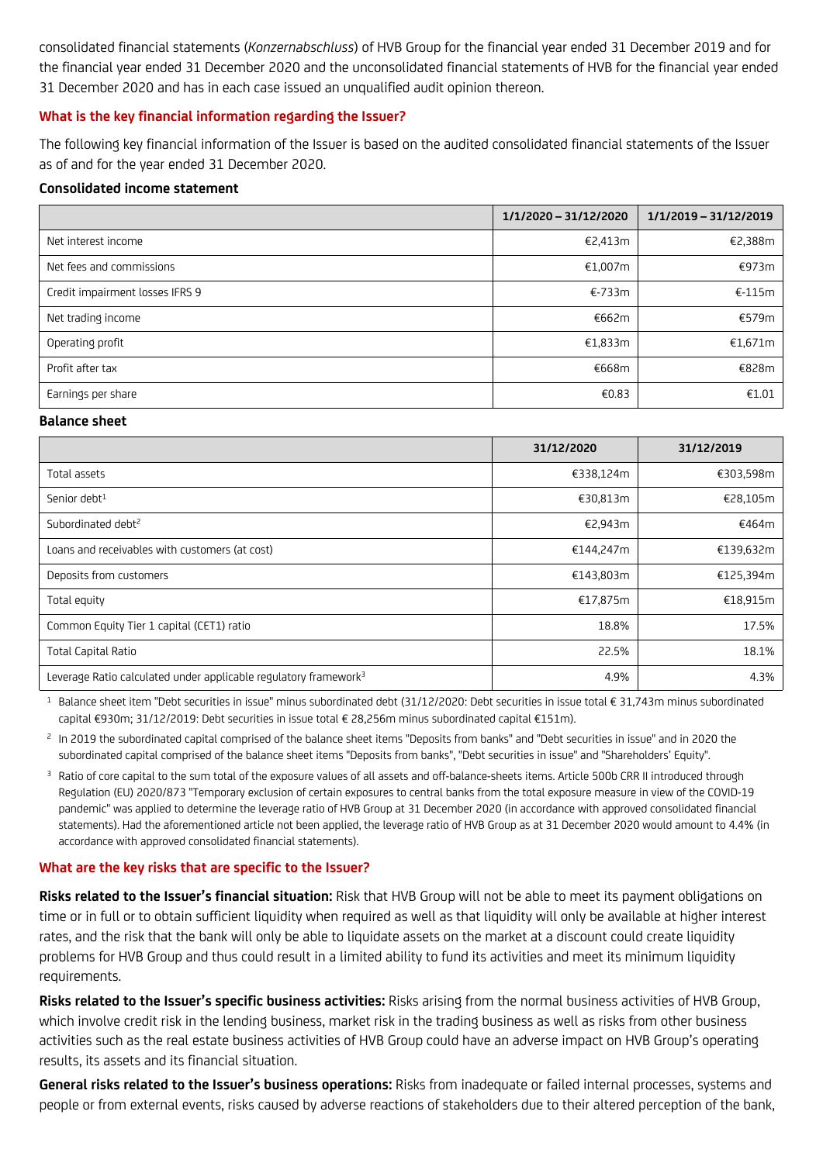consolidated financial statements (*Konzernabschluss*) of HVB Group for the financial year ended 31 December 2019 and for the financial year ended 31 December 2020 and the unconsolidated financial statements of HVB for the financial year ended 31 December 2020 and has in each case issued an unqualified audit opinion thereon.

### **What is the key financial information regarding the Issuer?**

The following key financial information of the Issuer is based on the audited consolidated financial statements of the Issuer as of and for the year ended 31 December 2020.

### **Consolidated income statement**

|                                 | 1/1/2020 - 31/12/2020 | 1/1/2019 - 31/12/2019 |
|---------------------------------|-----------------------|-----------------------|
| Net interest income             | €2,413m               | €2,388m               |
| Net fees and commissions        | €1,007m               | €973m                 |
| Credit impairment losses IFRS 9 | €-733m                | $E-115m$              |
| Net trading income              | €662m                 | €579m                 |
| Operating profit                | €1,833m               | £1,671m               |
| Profit after tax                | €668m                 | €828m                 |
| Earnings per share              | €0.83                 | €1.01                 |

#### **Balance sheet**

|                                                                              | 31/12/2020 | 31/12/2019 |
|------------------------------------------------------------------------------|------------|------------|
| Total assets                                                                 | €338,124m  | €303,598m  |
| Senior debt <sup>1</sup>                                                     | €30,813m   | €28,105m   |
| Subordinated debt <sup>2</sup>                                               | €2,943m    | €464m      |
| Loans and receivables with customers (at cost)                               | €144,247m  | €139,632m  |
| Deposits from customers                                                      | €143,803m  | €125,394m  |
| Total equity                                                                 | €17,875m   | €18,915m   |
| Common Equity Tier 1 capital (CET1) ratio                                    | 18.8%      | 17.5%      |
| <b>Total Capital Ratio</b>                                                   | 22.5%      | 18.1%      |
| Leverage Ratio calculated under applicable regulatory framework <sup>3</sup> | 4.9%       | 4.3%       |

<sup>1</sup> Balance sheet item "Debt securities in issue" minus subordinated debt (31/12/2020: Debt securities in issue total € 31,743m minus subordinated capital €930m; 31/12/2019: Debt securities in issue total € 28,256m minus subordinated capital €151m).

<sup>2</sup> In 2019 the subordinated capital comprised of the balance sheet items "Deposits from banks" and "Debt securities in issue" and in 2020 the subordinated capital comprised of the balance sheet items "Deposits from banks", "Debt securities in issue" and "Shareholders' Equity".

<sup>3</sup> Ratio of core capital to the sum total of the exposure values of all assets and off-balance-sheets items. Article 500b CRR II introduced through Regulation (EU) 2020/873 "Temporary exclusion of certain exposures to central banks from the total exposure measure in view of the COVID-19 pandemic" was applied to determine the leverage ratio of HVB Group at 31 December 2020 (in accordance with approved consolidated financial statements). Had the aforementioned article not been applied, the leverage ratio of HVB Group as at 31 December 2020 would amount to 4.4% (in accordance with approved consolidated financial statements).

### **What are the key risks that are specific to the Issuer?**

**Risks related to the Issuer's financial situation:** Risk that HVB Group will not be able to meet its payment obligations on time or in full or to obtain sufficient liquidity when required as well as that liquidity will only be available at higher interest rates, and the risk that the bank will only be able to liquidate assets on the market at a discount could create liquidity problems for HVB Group and thus could result in a limited ability to fund its activities and meet its minimum liquidity requirements.

**Risks related to the Issuer's specific business activities:** Risks arising from the normal business activities of HVB Group, which involve credit risk in the lending business, market risk in the trading business as well as risks from other business activities such as the real estate business activities of HVB Group could have an adverse impact on HVB Group's operating results, its assets and its financial situation.

**General risks related to the Issuer's business operations:** Risks from inadequate or failed internal processes, systems and people or from external events, risks caused by adverse reactions of stakeholders due to their altered perception of the bank,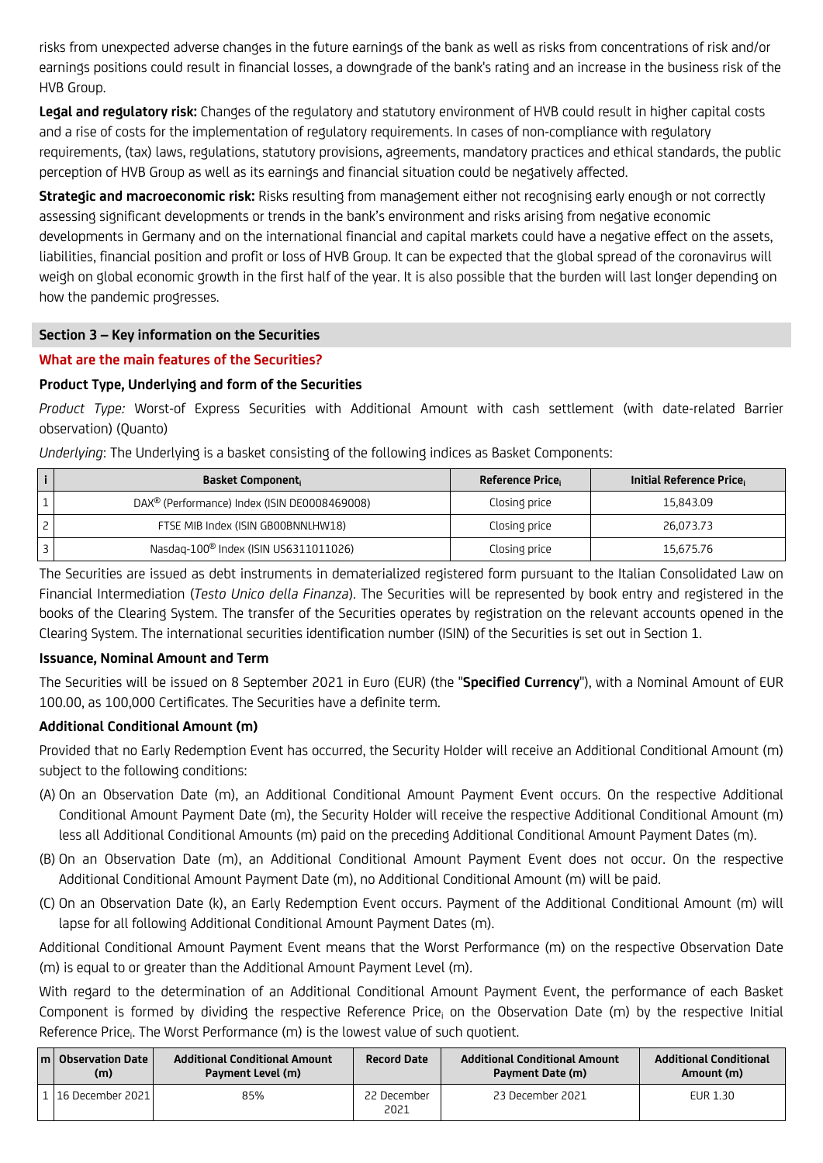risks from unexpected adverse changes in the future earnings of the bank as well as risks from concentrations of risk and/or earnings positions could result in financial losses, a downgrade of the bank's rating and an increase in the business risk of the HVB Group.

**Legal and regulatory risk:** Changes of the regulatory and statutory environment of HVB could result in higher capital costs and a rise of costs for the implementation of regulatory requirements. In cases of non-compliance with regulatory requirements, (tax) laws, regulations, statutory provisions, agreements, mandatory practices and ethical standards, the public perception of HVB Group as well as its earnings and financial situation could be negatively affected.

**Strategic and macroeconomic risk:** Risks resulting from management either not recognising early enough or not correctly assessing significant developments or trends in the bank's environment and risks arising from negative economic developments in Germany and on the international financial and capital markets could have a negative effect on the assets, liabilities, financial position and profit or loss of HVB Group. It can be expected that the global spread of the coronavirus will weigh on global economic growth in the first half of the year. It is also possible that the burden will last longer depending on how the pandemic progresses.

### **Section 3 – Key information on the Securities**

### **What are the main features of the Securities?**

# **Product Type, Underlying and form of the Securities**

*Product Type:* Worst-of Express Securities with Additional Amount with cash settlement (with date-related Barrier observation) (Quanto)

*Underlying*: The Underlying is a basket consisting of the following indices as Basket Components:

| <b>Basket Component</b>                                  | Reference Price | Initial Reference Price |
|----------------------------------------------------------|-----------------|-------------------------|
| DAX <sup>®</sup> (Performance) Index (ISIN DE0008469008) | Closing price   | 15,843.09               |
| FTSE MIB Index (ISIN GB00BNNLHW18)                       | Closing price   | 26.073.73               |
| Nasdaq-100 <sup>®</sup> Index (ISIN US6311011026)        | Closing price   | 15.675.76               |

The Securities are issued as debt instruments in dematerialized registered form pursuant to the Italian Consolidated Law on Financial Intermediation (*Testo Unico della Finanza*). The Securities will be represented by book entry and registered in the books of the Clearing System. The transfer of the Securities operates by registration on the relevant accounts opened in the Clearing System. The international securities identification number (ISIN) of the Securities is set out in Section 1.

### **Issuance, Nominal Amount and Term**

The Securities will be issued on 8 September 2021 in Euro (EUR) (the "**Specified Currency**"), with a Nominal Amount of EUR 100.00, as 100,000 Certificates. The Securities have a definite term.

# **Additional Conditional Amount (m)**

Provided that no Early Redemption Event has occurred, the Security Holder will receive an Additional Conditional Amount (m) subject to the following conditions:

- (A) On an Observation Date (m), an Additional Conditional Amount Payment Event occurs. On the respective Additional Conditional Amount Payment Date (m), the Security Holder will receive the respective Additional Conditional Amount (m) less all Additional Conditional Amounts (m) paid on the preceding Additional Conditional Amount Payment Dates (m).
- (B) On an Observation Date (m), an Additional Conditional Amount Payment Event does not occur. On the respective Additional Conditional Amount Payment Date (m), no Additional Conditional Amount (m) will be paid.
- (C) On an Observation Date (k), an Early Redemption Event occurs. Payment of the Additional Conditional Amount (m) will lapse for all following Additional Conditional Amount Payment Dates (m).

Additional Conditional Amount Payment Event means that the Worst Performance (m) on the respective Observation Date (m) is equal to or greater than the Additional Amount Payment Level (m).

With regard to the determination of an Additional Conditional Amount Payment Event, the performance of each Basket Component is formed by dividing the respective Reference Price<sub>i</sub> on the Observation Date (m) by the respective Initial Reference Price;. The Worst Performance (m) is the lowest value of such quotient.

| m   Observation Date<br>(m) | <b>Additional Conditional Amount</b><br>Payment Level (m) | <b>Record Date</b>  | <b>Additional Conditional Amount</b><br>Payment Date (m) | <b>Additional Conditional</b><br>Amount (m) |
|-----------------------------|-----------------------------------------------------------|---------------------|----------------------------------------------------------|---------------------------------------------|
| .  16 December 2021         | 85%                                                       | 22 December<br>2021 | 23 December 2021                                         | <b>EUR 1.30</b>                             |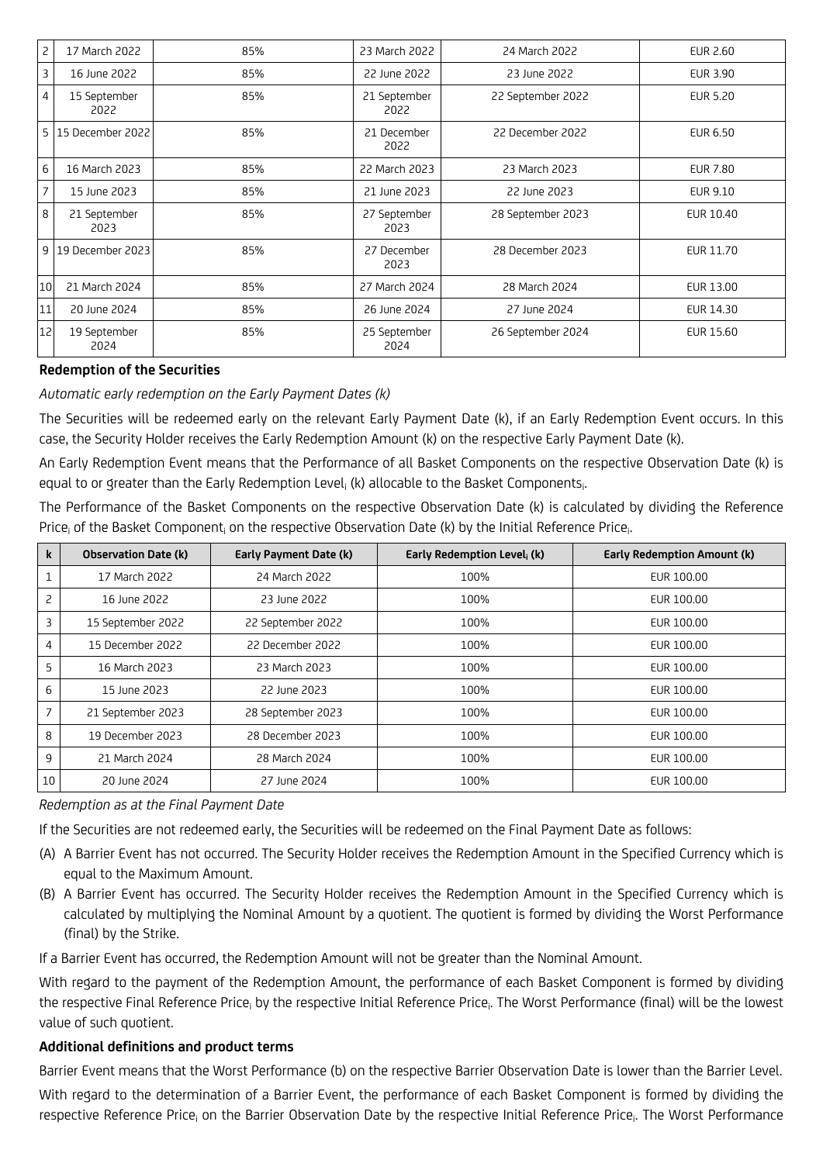| 2              | 17 March 2022        | 85% | 23 March 2022        | 24 March 2022     | EUR 2.60  |
|----------------|----------------------|-----|----------------------|-------------------|-----------|
| 3              | 16 June 2022         | 85% | 22 June 2022         | 23 June 2022      | EUR 3.90  |
| 4              | 15 September<br>2022 | 85% | 21 September<br>2022 | 22 September 2022 | EUR 5.20  |
|                | 5 15 December 2022   | 85% | 21 December<br>2022  | 22 December 2022  | EUR 6.50  |
| 6              | 16 March 2023        | 85% | 22 March 2023        | 23 March 2023     | EUR 7.80  |
| $\overline{7}$ | 15 June 2023         | 85% | 21 June 2023         | 22 June 2023      | EUR 9.10  |
| 8              | 21 September<br>2023 | 85% | 27 September<br>2023 | 28 September 2023 | EUR 10.40 |
|                | 9 19 December 2023   | 85% | 27 December<br>2023  | 28 December 2023  | EUR 11.70 |
| 10             | 21 March 2024        | 85% | 27 March 2024        | 28 March 2024     | EUR 13.00 |
| 11             | 20 June 2024         | 85% | 26 June 2024         | 27 June 2024      | EUR 14.30 |
| 12             | 19 September<br>2024 | 85% | 25 September<br>2024 | 26 September 2024 | EUR 15.60 |

### **Redemption of the Securities**

*Automatic early redemption on the Early Payment Dates (k)*

The Securities will be redeemed early on the relevant Early Payment Date (k), if an Early Redemption Event occurs. In this case, the Security Holder receives the Early Redemption Amount (k) on the respective Early Payment Date (k).

An Early Redemption Event means that the Performance of all Basket Components on the respective Observation Date (k) is equal to or greater than the Early Redemption Level<sub>i</sub> (k) allocable to the Basket Components<sub>i</sub> .

The Performance of the Basket Components on the respective Observation Date (k) is calculated by dividing the Reference Price<sub>i</sub> of the Basket Component<sub>i</sub> on the respective Observation Date (k) by the Initial Reference Price<sub>i</sub> .

| k  | <b>Observation Date (k)</b> | Early Payment Date (k) | Early Redemption Level, (k) | <b>Early Redemption Amount (k)</b> |
|----|-----------------------------|------------------------|-----------------------------|------------------------------------|
|    | 17 March 2022               | 24 March 2022          | 100%                        | EUR 100.00                         |
| 2  | 16 June 2022                | 23 June 2022           | 100%                        | EUR 100.00                         |
| 3  | 15 September 2022           | 22 September 2022      | 100%                        | EUR 100.00                         |
| 4  | 15 December 2022            | 22 December 2022       | 100%                        | EUR 100.00                         |
| 5  | 16 March 2023               | 23 March 2023          | 100%                        | EUR 100.00                         |
| 6  | 15 June 2023                | 22 June 2023           | 100%                        | EUR 100.00                         |
| 7  | 21 September 2023           | 28 September 2023      | 100%                        | EUR 100.00                         |
| 8  | 19 December 2023            | 28 December 2023       | 100%                        | EUR 100.00                         |
| 9  | 21 March 2024               | 28 March 2024          | 100%                        | EUR 100.00                         |
| 10 | 20 June 2024                | 27 June 2024           | 100%                        | EUR 100.00                         |

### *Redemption as at the Final Payment Date*

If the Securities are not redeemed early, the Securities will be redeemed on the Final Payment Date as follows:

- (A) A Barrier Event has not occurred. The Security Holder receives the Redemption Amount in the Specified Currency which is equal to the Maximum Amount.
- (B) A Barrier Event has occurred. The Security Holder receives the Redemption Amount in the Specified Currency which is calculated by multiplying the Nominal Amount by a quotient. The quotient is formed by dividing the Worst Performance (final) by the Strike.

If a Barrier Event has occurred, the Redemption Amount will not be greater than the Nominal Amount.

With regard to the payment of the Redemption Amount, the performance of each Basket Component is formed by dividing the respective Final Reference Price<sub>i</sub> by the respective Initial Reference Price<sub>i</sub>. The Worst Performance (final) will be the lowest value of such quotient.

### **Additional definitions and product terms**

Barrier Event means that the Worst Performance (b) on the respective Barrier Observation Date is lower than the Barrier Level. With regard to the determination of a Barrier Event, the performance of each Basket Component is formed by dividing the respective Reference Price<sub>i</sub> on the Barrier Observation Date by the respective Initial Reference Price<sub>i</sub>. The Worst Performance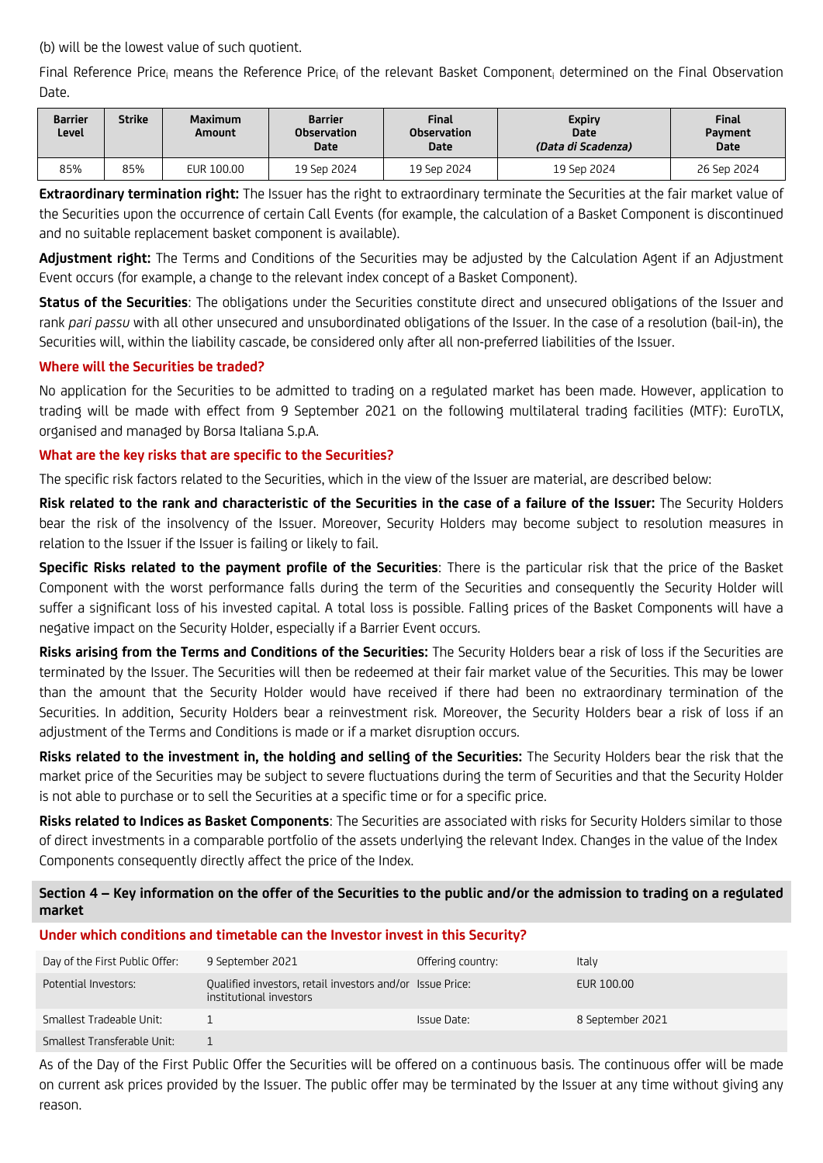(b) will be the lowest value of such quotient.

Final Reference Price<sub>i</sub> means the Reference Price<sub>i</sub> of the relevant Basket Component<sub>i</sub> determined on the Final Observation Date.

| <b>Barrier</b><br>Level | Strike | <b>Maximum</b><br>Amount | <b>Barrier</b><br><b>Observation</b><br><b>Date</b> | <b>Final</b><br><b>Observation</b><br><b>Date</b> | <b>Expiry</b><br><b>Date</b><br>(Data di Scadenza) | <b>Final</b><br>Payment<br><b>Date</b> |
|-------------------------|--------|--------------------------|-----------------------------------------------------|---------------------------------------------------|----------------------------------------------------|----------------------------------------|
| 85%                     | 85%    | EUR 100.00               | 19 Sep 2024                                         | 19 Sep 2024                                       | 19 Sep 2024                                        | 26 Sep 2024                            |

**Extraordinary termination right:** The Issuer has the right to extraordinary terminate the Securities at the fair market value of the Securities upon the occurrence of certain Call Events (for example, the calculation of a Basket Component is discontinued and no suitable replacement basket component is available).

**Adjustment right:** The Terms and Conditions of the Securities may be adjusted by the Calculation Agent if an Adjustment Event occurs (for example, a change to the relevant index concept of a Basket Component).

**Status of the Securities**: The obligations under the Securities constitute direct and unsecured obligations of the Issuer and rank *pari passu* with all other unsecured and unsubordinated obligations of the Issuer. In the case of a resolution (bail-in), the Securities will, within the liability cascade, be considered only after all non-preferred liabilities of the Issuer.

# **Where will the Securities be traded?**

No application for the Securities to be admitted to trading on a regulated market has been made. However, application to trading will be made with effect from 9 September 2021 on the following multilateral trading facilities (MTF): EuroTLX, organised and managed by Borsa Italiana S.p.A.

# **What are the key risks that are specific to the Securities?**

The specific risk factors related to the Securities, which in the view of the Issuer are material, are described below:

**Risk related to the rank and characteristic of the Securities in the case of a failure of the Issuer:** The Security Holders bear the risk of the insolvency of the Issuer. Moreover, Security Holders may become subject to resolution measures in relation to the Issuer if the Issuer is failing or likely to fail.

**Specific Risks related to the payment profile of the Securities**: There is the particular risk that the price of the Basket Component with the worst performance falls during the term of the Securities and consequently the Security Holder will suffer a significant loss of his invested capital. A total loss is possible. Falling prices of the Basket Components will have a negative impact on the Security Holder, especially if a Barrier Event occurs.

**Risks arising from the Terms and Conditions of the Securities:** The Security Holders bear a risk of loss if the Securities are terminated by the Issuer. The Securities will then be redeemed at their fair market value of the Securities. This may be lower than the amount that the Security Holder would have received if there had been no extraordinary termination of the Securities. In addition, Security Holders bear a reinvestment risk. Moreover, the Security Holders bear a risk of loss if an adjustment of the Terms and Conditions is made or if a market disruption occurs.

**Risks related to the investment in, the holding and selling of the Securities:** The Security Holders bear the risk that the market price of the Securities may be subject to severe fluctuations during the term of Securities and that the Security Holder is not able to purchase or to sell the Securities at a specific time or for a specific price.

**Risks related to Indices as Basket Components**: The Securities are associated with risks for Security Holders similar to those of direct investments in a comparable portfolio of the assets underlying the relevant Index. Changes in the value of the Index Components consequently directly affect the price of the Index.

**Section 4 – Key information on the offer of the Securities to the public and/or the admission to trading on a regulated market**

### **Under which conditions and timetable can the Investor invest in this Security?**

| Day of the First Public Offer: | 9 September 2021                                                                     | Offering country: | Italy            |
|--------------------------------|--------------------------------------------------------------------------------------|-------------------|------------------|
| Potential Investors:           | Qualified investors, retail investors and/or Issue Price:<br>institutional investors |                   | EUR 100.00       |
| Smallest Tradeable Unit:       |                                                                                      | Issue Date:       | 8 September 2021 |
| Smallest Transferable Unit:    |                                                                                      |                   |                  |

As of the Day of the First Public Offer the Securities will be offered on a continuous basis. The continuous offer will be made on current ask prices provided by the Issuer. The public offer may be terminated by the Issuer at any time without giving any reason.